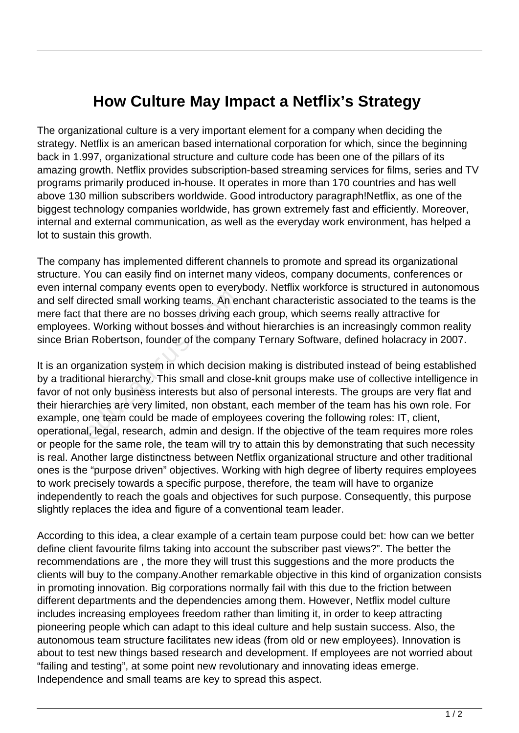## **How Culture May Impact a Netflix's Strategy**

The organizational culture is a very important element for a company when deciding the strategy. Netflix is an american based international corporation for which, since the beginning back in 1.997, organizational structure and culture code has been one of the pillars of its amazing growth. Netflix provides subscription-based streaming services for films, series and TV programs primarily produced in-house. It operates in more than 170 countries and has well above 130 million subscribers worldwide. Good introductory paragraph!Netflix, as one of the biggest technology companies worldwide, has grown extremely fast and efficiently. Moreover, internal and external communication, as well as the everyday work environment, has helped a lot to sustain this growth.

The company has implemented different channels to promote and spread its organizational structure. You can easily find on internet many videos, company documents, conferences or even internal company events open to everybody. Netflix workforce is structured in autonomous and self directed small working teams. An enchant characteristic associated to the teams is the mere fact that there are no bosses driving each group, which seems really attractive for employees. Working without bosses and without hierarchies is an increasingly common reality since Brian Robertson, founder of the company Ternary Software, defined holacracy in 2007.

It is an organization system in which decision making is distributed instead of being established by a traditional hierarchy. This small and close-knit groups make use of collective intelligence in favor of not only business interests but also of personal interests. The groups are very flat and their hierarchies are very limited, non obstant, each member of the team has his own role. For example, one team could be made of employees covering the following roles: IT, client, operational, legal, research, admin and design. If the objective of the team requires more roles or people for the same role, the team will try to attain this by demonstrating that such necessity is real. Another large distinctness between Netflix organizational structure and other traditional ones is the "purpose driven" objectives. Working with high degree of liberty requires employees to work precisely towards a specific purpose, therefore, the team will have to organize independently to reach the goals and objectives for such purpose. Consequently, this purpose slightly replaces the idea and figure of a conventional team leader. France of the Contractor Premission<br>rected small working teams. An er<br>that there are no bosses driving eats.<br>Working without bosses and with<br>anization system in which decision<br>anization system in which decision<br>onal hierar

According to this idea, a clear example of a certain team purpose could bet: how can we better define client favourite films taking into account the subscriber past views?". The better the recommendations are , the more they will trust this suggestions and the more products the clients will buy to the company.Another remarkable objective in this kind of organization consists in promoting innovation. Big corporations normally fail with this due to the friction between different departments and the dependencies among them. However, Netflix model culture includes increasing employees freedom rather than limiting it, in order to keep attracting pioneering people which can adapt to this ideal culture and help sustain success. Also, the autonomous team structure facilitates new ideas (from old or new employees). Innovation is about to test new things based research and development. If employees are not worried about "failing and testing", at some point new revolutionary and innovating ideas emerge. Independence and small teams are key to spread this aspect.